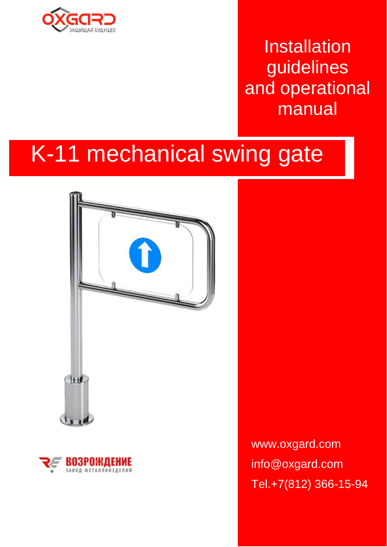

Installation guidelines and operational manual

# K-11 mechanical swing gate





www.oxgard.com info@oxgard.com Tel.+7(812) 366-15-94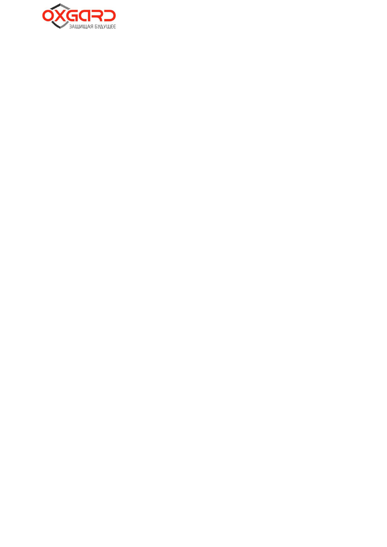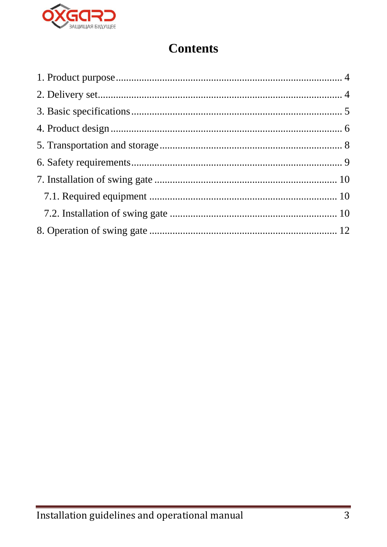

# **Contents**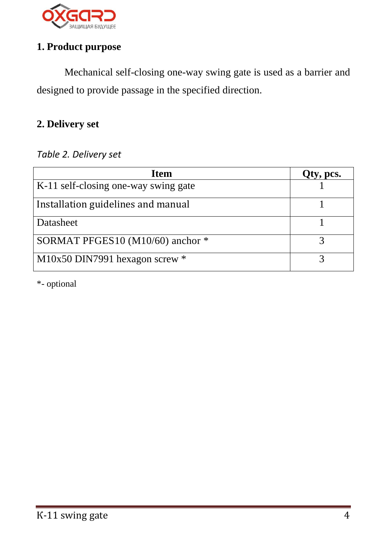

# <span id="page-3-0"></span>**1. Product purpose**

Mechanical self-closing one-way swing gate is used as a barrier and designed to provide passage in the specified direction.

# <span id="page-3-1"></span>**2. Delivery set**

#### *Table 2. Delivery set*

| <b>Item</b>                              | Qty, pcs. |
|------------------------------------------|-----------|
| K-11 self-closing one-way swing gate     |           |
| Installation guidelines and manual       |           |
| Datasheet                                |           |
| SORMAT PFGES10 (M10/60) anchor *         |           |
| $\vert$ M10x50 DIN7991 hexagon screw $*$ |           |

\*- optional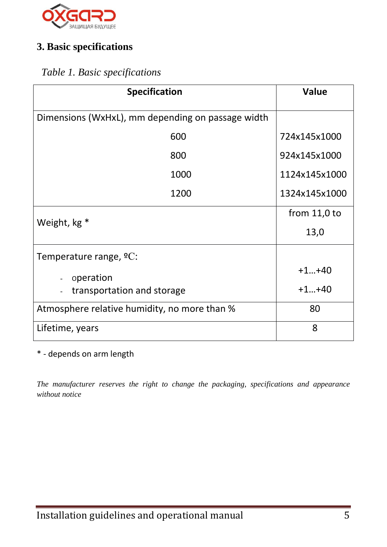

#### <span id="page-4-0"></span>**3. Basic specifications**

# *Table 1. Basic specifications*

| <b>Specification</b>                              | <b>Value</b>   |  |
|---------------------------------------------------|----------------|--|
| Dimensions (WxHxL), mm depending on passage width |                |  |
| 600                                               | 724x145x1000   |  |
| 800                                               | 924x145x1000   |  |
| 1000                                              | 1124x145x1000  |  |
| 1200                                              | 1324x145x1000  |  |
| Weight, kg *                                      | from $11,0$ to |  |
|                                                   | 13,0           |  |
| Temperature range, $°C$ :                         |                |  |
| operation                                         | $+1+40$        |  |
| transportation and storage                        | $+1+40$        |  |
| Atmosphere relative humidity, no more than %      | 80             |  |
| Lifetime, years                                   | 8              |  |

\* - depends on arm length

*The manufacturer reserves the right to change the packaging, specifications and appearance without notice*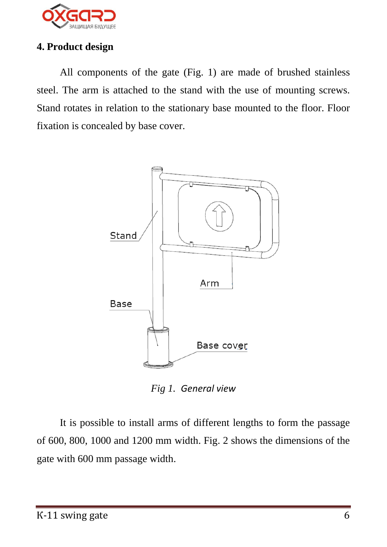

#### <span id="page-5-0"></span>**4. Product design**

All components of the gate (Fig. 1) are made of brushed stainless steel. The arm is attached to the stand with the use of mounting screws. Stand rotates in relation to the stationary base mounted to the floor. Floor fixation is concealed by base cover.



*Fig 1. General view*

It is possible to install arms of different lengths to form the passage of 600, 800, 1000 and 1200 mm width. Fig. 2 shows the dimensions of the gate with 600 mm passage width.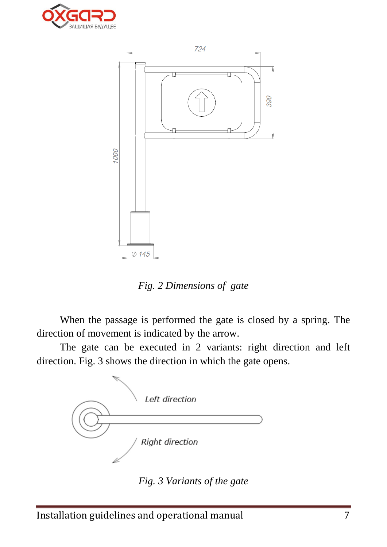



*Fig. 2 Dimensions of gate*

When the passage is performed the gate is closed by a spring. The direction of movement is indicated by the arrow.

The gate can be executed in 2 variants: right direction and left direction. Fig. 3 shows the direction in which the gate opens.



*Fig. 3 Variants of the gate*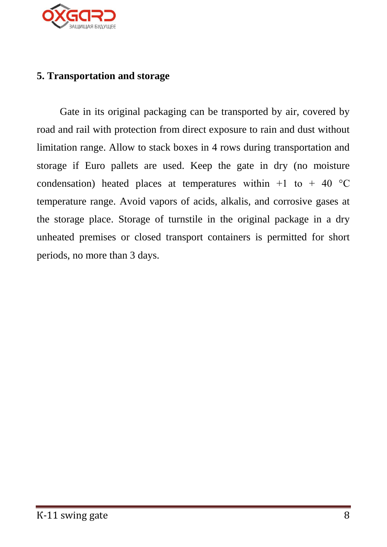

#### <span id="page-7-0"></span>**5. Transportation and storage**

Gate in its original packaging can be transported by air, covered by road and rail with protection from direct exposure to rain and dust without limitation range. Allow to stack boxes in 4 rows during transportation and storage if Euro pallets are used. Keep the gate in dry (no moisture condensation) heated places at temperatures within  $+1$  to  $+$  40 °C temperature range. Avoid vapors of acids, alkalis, and corrosive gases at the storage place. Storage of turnstile in the original package in a dry unheated premises or closed transport containers is permitted for short periods, no more than 3 days.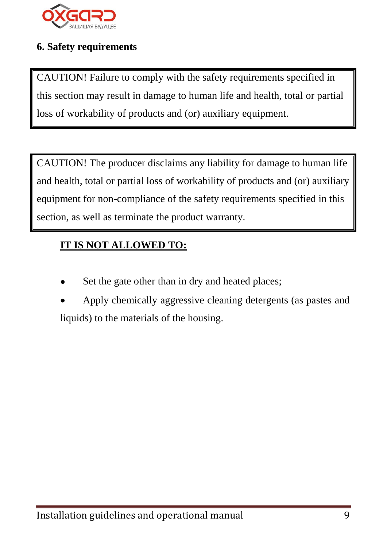

#### <span id="page-8-0"></span>**6. Safety requirements**

CAUTION! Failure to comply with the safety requirements specified in this section may result in damage to human life and health, total or partial loss of workability of products and (or) auxiliary equipment.

CAUTION! The producer disclaims any liability for damage to human life and health, total or partial loss of workability of products and (or) auxiliary equipment for non-compliance of the safety requirements specified in this section, as well as terminate the product warranty.

# **IT IS NOT ALLOWED TO:**

- Set the gate other than in dry and heated places;
- Apply chemically aggressive cleaning detergents (as pastes and liquids) to the materials of the housing.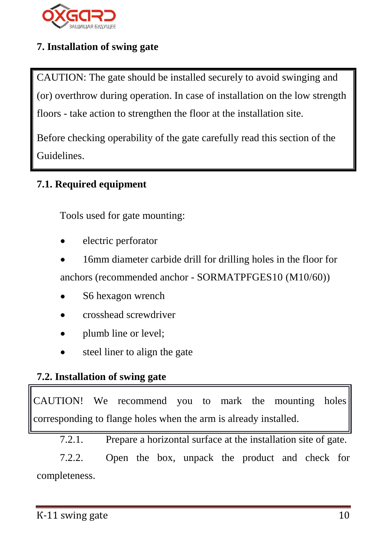

# <span id="page-9-0"></span>**7. Installation of swing gate**

CAUTION: The gate should be installed securely to avoid swinging and (or) overthrow during operation. In case of installation on the low strength floors - take action to strengthen the floor at the installation site.

Before checking operability of the gate carefully read this section of the Guidelines.

# <span id="page-9-1"></span>**7.1. Required equipment**

Tools used for gate mounting:

- electric perforator
- 16mm diameter carbide drill for drilling holes in the floor for anchors (recommended anchor - SORMATPFGES10 (M10/60))
- S6 hexagon wrench
- crosshead screwdriver
- plumb line or level;
- steel liner to align the gate

#### <span id="page-9-2"></span>**7.2. Installation of swing gate**

CAUTION! We recommend you to mark the mounting holes corresponding to flange holes when the arm is already installed.

7.2.1. Prepare a horizontal surface at the installation site of gate.

7.2.2. Open the box, unpack the product and check for completeness.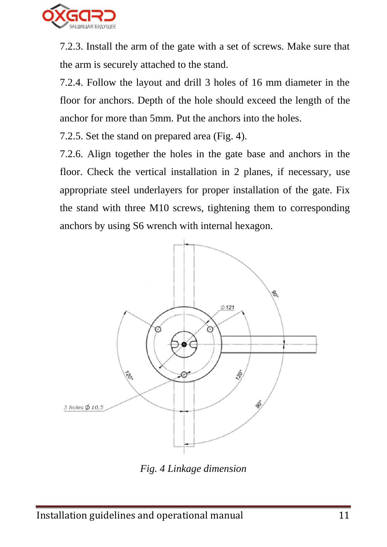

7.2.3. Install the arm of the gate with a set of screws. Make sure that the arm is securely attached to the stand.

7.2.4. Follow the layout and drill 3 holes of 16 mm diameter in the floor for anchors. Depth of the hole should exceed the length of the anchor for more than 5mm. Put the anchors into the holes.

7.2.5. Set the stand on prepared area (Fig. 4).

7.2.6. Align together the holes in the gate base and anchors in the floor. Check the vertical installation in 2 planes, if necessary, use appropriate steel underlayers for proper installation of the gate. Fix the stand with three M10 screws, tightening them to corresponding anchors by using S6 wrench with internal hexagon.



*Fig. 4 Linkage dimension*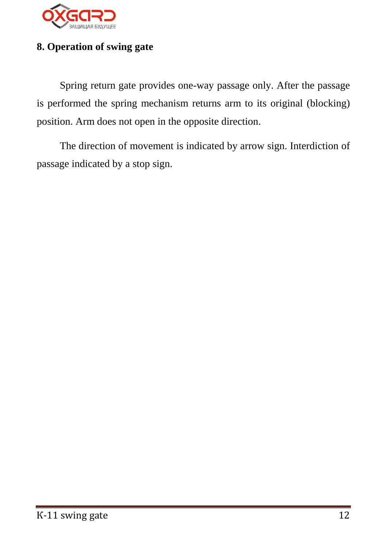

#### <span id="page-11-0"></span>**8. Operation of swing gate**

Spring return gate provides one-way passage only. After the passage is performed the spring mechanism returns arm to its original (blocking) position. Arm does not open in the opposite direction.

The direction of movement is indicated by arrow sign. Interdiction of passage indicated by a stop sign.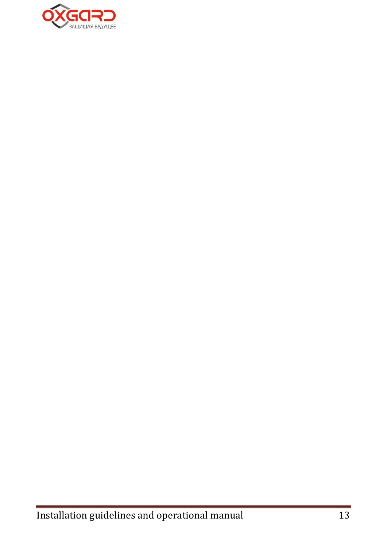